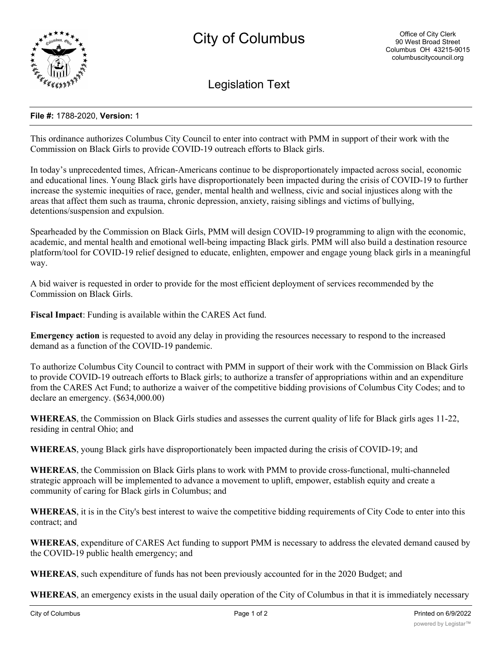

Legislation Text

## **File #:** 1788-2020, **Version:** 1

This ordinance authorizes Columbus City Council to enter into contract with PMM in support of their work with the Commission on Black Girls to provide COVID-19 outreach efforts to Black girls.

In today's unprecedented times, African-Americans continue to be disproportionately impacted across social, economic and educational lines. Young Black girls have disproportionately been impacted during the crisis of COVID-19 to further increase the systemic inequities of race, gender, mental health and wellness, civic and social injustices along with the areas that affect them such as trauma, chronic depression, anxiety, raising siblings and victims of bullying, detentions/suspension and expulsion.

Spearheaded by the Commission on Black Girls, PMM will design COVID-19 programming to align with the economic, academic, and mental health and emotional well-being impacting Black girls. PMM will also build a destination resource platform/tool for COVID-19 relief designed to educate, enlighten, empower and engage young black girls in a meaningful way.

A bid waiver is requested in order to provide for the most efficient deployment of services recommended by the Commission on Black Girls.

**Fiscal Impact**: Funding is available within the CARES Act fund.

**Emergency action** is requested to avoid any delay in providing the resources necessary to respond to the increased demand as a function of the COVID-19 pandemic.

To authorize Columbus City Council to contract with PMM in support of their work with the Commission on Black Girls to provide COVID-19 outreach efforts to Black girls; to authorize a transfer of appropriations within and an expenditure from the CARES Act Fund; to authorize a waiver of the competitive bidding provisions of Columbus City Codes; and to declare an emergency. (\$634,000.00)

**WHEREAS**, the Commission on Black Girls studies and assesses the current quality of life for Black girls ages 11-22, residing in central Ohio; and

**WHEREAS**, young Black girls have disproportionately been impacted during the crisis of COVID-19; and

**WHEREAS**, the Commission on Black Girls plans to work with PMM to provide cross-functional, multi-channeled strategic approach will be implemented to advance a movement to uplift, empower, establish equity and create a community of caring for Black girls in Columbus; and

**WHEREAS**, it is in the City's best interest to waive the competitive bidding requirements of City Code to enter into this contract; and

**WHEREAS**, expenditure of CARES Act funding to support PMM is necessary to address the elevated demand caused by the COVID-19 public health emergency; and

**WHEREAS**, such expenditure of funds has not been previously accounted for in the 2020 Budget; and

**WHEREAS**, an emergency exists in the usual daily operation of the City of Columbus in that it is immediately necessary